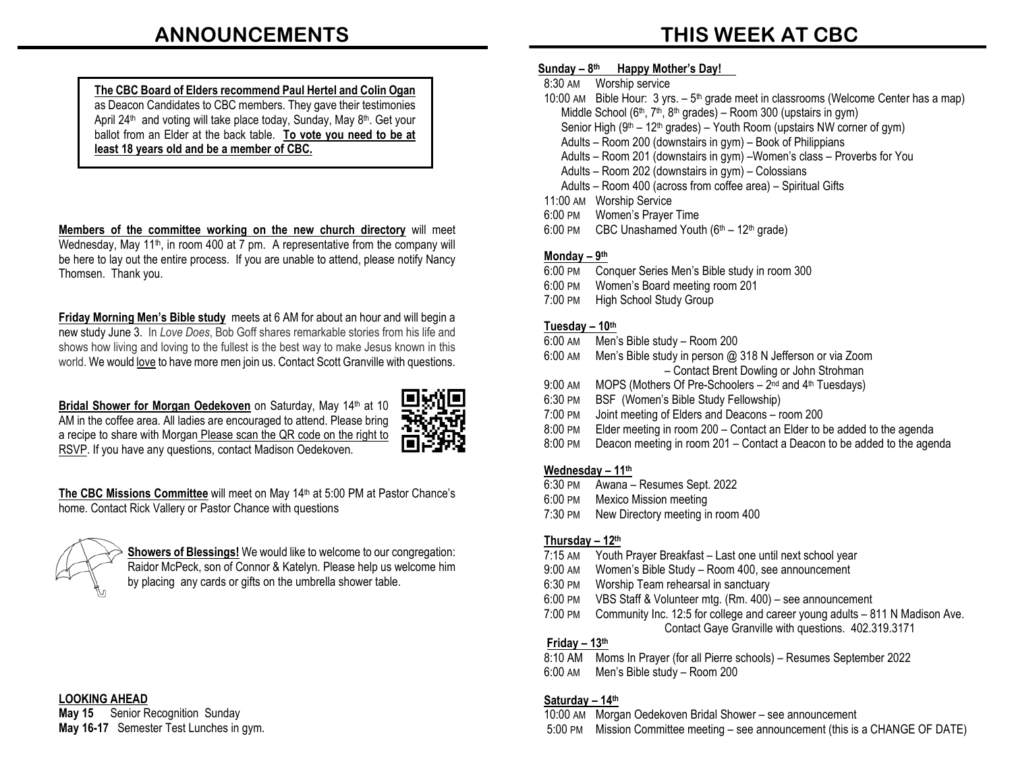**THIS WEEK AT CBC**

#### **The CBC Board of Elders recommend Paul Hertel and Colin Ogan**  as Deacon Candidates to CBC members. They gave their testimonies April 24<sup>th</sup> and voting will take place today, Sunday, May 8<sup>th</sup>. Get your ballot from an Elder at the back table. **To vote you need to be at least 18 years old and be a member of CBC.**

**Members of the committee working on the new church directory** will meet Wednesday, May 11<sup>th</sup>, in room 400 at  $\overline{7}$  pm. A representative from the company will be here to lay out the entire process. If you are unable to attend, please notify Nancy Thomsen. Thank you.

**Friday Morning Men's Bible study** meets at 6 AM for about an hour and will begin a new study June 3. In *Love Does*, Bob Goff shares remarkable stories from his life and shows how living and loving to the fullest is the best way to make Jesus known in this world. We would love to have more men join us. Contact Scott Granville with questions.

**Bridal Shower for Morgan Oedekoven** on Saturday, May 14th at 10 AM in the coffee area. All ladies are encouraged to attend. Please bring a recipe to share with Morgan Please scan the QR code on the right to RSVP. If you have any questions, contact Madison Oedekoven.



**The CBC Missions Committee** will meet on May 14th at 5:00 PM at Pastor Chance's home. Contact Rick Vallery or Pastor Chance with questions



**Showers of Blessings!** We would like to welcome to our congregation: Raidor McPeck, son of Connor & Katelyn. Please help us welcome him by placing any cards or gifts on the umbrella shower table.

#### **LOOKING AHEAD**

**May 15** Senior Recognition Sunday **May 16-17** Semester Test Lunches in gym.

#### **Sunday – 8th Happy Mother's Day! .**

- 8:30 AM Worship service
- 10:00 AM Bible Hour:  $3 \text{ yrs.} 5^{\text{th}}$  grade meet in classrooms (Welcome Center has a map) Middle School ( $6<sup>th</sup>$ ,  $7<sup>th</sup>$ ,  $8<sup>th</sup>$  grades) – Room 300 (upstairs in gym) Senior High ( $9<sup>th</sup> - 12<sup>th</sup>$  grades) – Youth Room (upstairs NW corner of gym) Adults – Room 200 (downstairs in gym) – Book of Philippians Adults – Room 201 (downstairs in gym) –Women's class – Proverbs for You
	- Adults Room 202 (downstairs in gym) Colossians
	- Adults Room 400 (across from coffee area) Spiritual Gifts
- 11:00 AM Worship Service
- 6:00 PM Women's Prayer Time
- 6:00 PM CBC Unashamed Youth  $(6<sup>th</sup> 12<sup>th</sup>$  grade)

#### **Monday – 9th**

- 6:00 PM Conquer Series Men's Bible study in room 300
- 6:00 PM Women's Board meeting room 201
- 7:00 PM High School Study Group

#### **Tuesday – 10th**

- 6:00 AM Men's Bible study Room 200
- 6:00 AM Men's Bible study in person @ 318 N Jefferson or via Zoom – Contact Brent Dowling or John Strohman
- 9:00 AM MOPS (Mothers Of Pre-Schoolers  $2<sup>nd</sup>$  and  $4<sup>th</sup>$  Tuesdays)
- 6:30 PM BSF (Women's Bible Study Fellowship)
- 7:00 PM Joint meeting of Elders and Deacons room 200
- 8:00 PM Elder meeting in room 200 Contact an Elder to be added to the agenda
- 8:00 PM Deacon meeting in room 201 Contact a Deacon to be added to the agenda

#### **Wednesday – 11th**

- 6:30 PM Awana Resumes Sept. 2022
- 6:00 PM Mexico Mission meeting
- 7:30 PM New Directory meeting in room 400

#### **Thursday – 12th**

- 7:15 AM Youth Prayer Breakfast Last one until next school year
- 9:00 AM Women's Bible Study Room 400, see announcement
- 6:30 PM Worship Team rehearsal in sanctuary
- 6:00 PM VBS Staff & Volunteer mtg. (Rm. 400) see announcement
- 7:00 PM Community Inc. 12:5 for college and career young adults 811 N Madison Ave. Contact Gaye Granville with questions. 402.319.3171

#### **Friday – 13th**

8:10 AM Moms In Prayer (for all Pierre schools) – Resumes September 2022 6:00 AM Men's Bible study – Room 200

#### **Saturday – 14th**

10:00 AM Morgan Oedekoven Bridal Shower – see announcement 5:00 PM Mission Committee meeting – see announcement (this is a CHANGE OF DATE)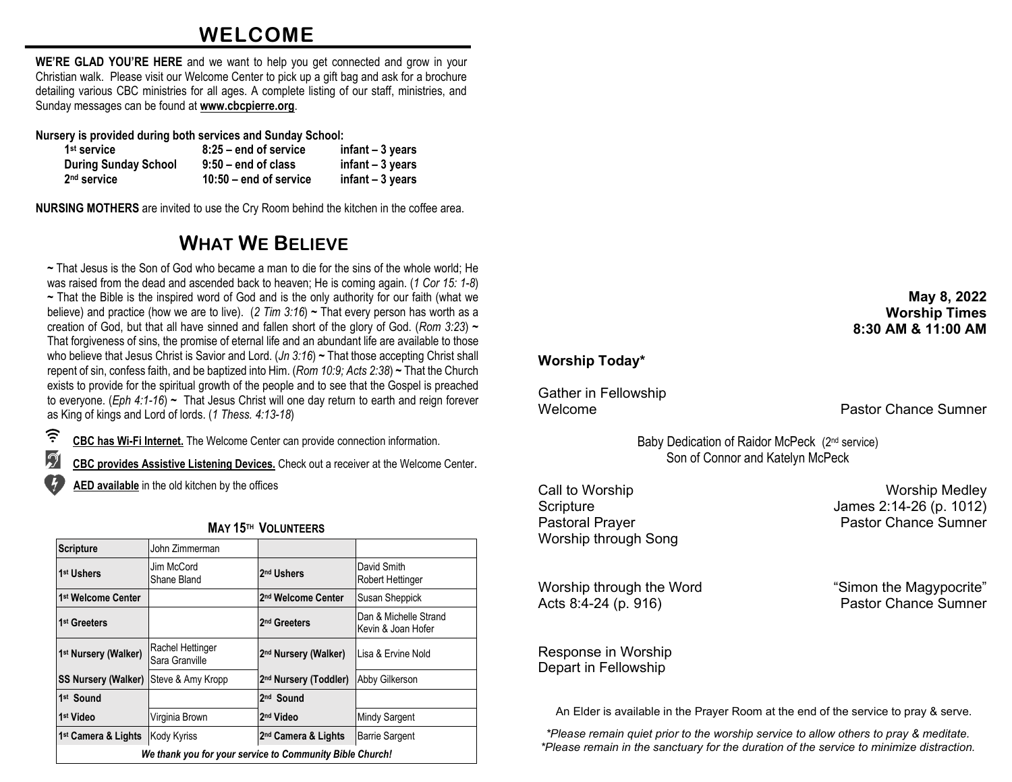## **WELCOME**

**WE'RE GLAD YOU'RE HERE** and we want to help you get connected and grow in your Christian walk. Please visit our Welcome Center to pick up a gift bag and ask for a brochure detailing various CBC ministries for all ages. A complete listing of our staff, ministries, and Sunday messages can be found at **[www.cbcpierre.org](http://www.cbcpierre.org/)**.

**Nursery is provided during both services and Sunday School:**

| 1 <sup>st</sup> service     | $8:25$ – end of service  | $infant - 3 years$ |
|-----------------------------|--------------------------|--------------------|
| <b>During Sunday School</b> | $9:50 -$ end of class    | $infant - 3 years$ |
| $2nd$ service               | $10:50$ – end of service | $infant - 3 years$ |

**NURSING MOTHERS** are invited to use the Cry Room behind the kitchen in the coffee area.

## **WHAT WE BELIEVE**

**~** That Jesus is the Son of God who became a man to die for the sins of the whole world; He was raised from the dead and ascended back to heaven; He is coming again. (*1 Cor 15: 1-8*) **~** That the Bible is the inspired word of God and is the only authority for our faith (what we believe) and practice (how we are to live). (*2 Tim 3:16*) **~** That every person has worth as a creation of God, but that all have sinned and fallen short of the glory of God. (*Rom 3:23*) **~** That forgiveness of sins, the promise of eternal life and an abundant life are available to those who believe that Jesus Christ is Savior and Lord. (*Jn 3:16*) **~** That those accepting Christ shall repent of sin, confess faith, and be baptized into Him. (*Rom 10:9; Acts 2:38*) **~** That the Church exists to provide for the spiritual growth of the people and to see that the Gospel is preached to everyone. (*Eph 4:1-16*) **~** That Jesus Christ will one day return to earth and reign forever as King of kings and Lord of lords. (*1 Thess. 4:13-18*)

 $\widehat{\tau}$ **CBC has Wi-Fi Internet.** The Welcome Center can provide connection information.

 $\mathcal{D}$ **CBC provides Assistive Listening Devices.** Check out a receiver at the Welcome Center.

**AED available** in the old kitchen by the offices

| <b>Scripture</b>                                         | John Zimmerman                     |                                   |                                             |
|----------------------------------------------------------|------------------------------------|-----------------------------------|---------------------------------------------|
| 1 <sup>st</sup> Ushers                                   | Jim McCord<br>Shane Bland          | 2 <sup>nd</sup> Ushers            | David Smith<br>Robert Hettinger             |
| 1st Welcome Center                                       |                                    | 2 <sup>nd</sup> Welcome Center    | Susan Sheppick                              |
| 1 <sup>st</sup> Greeters                                 |                                    | 2 <sup>nd</sup> Greeters          | Dan & Michelle Strand<br>Kevin & Joan Hofer |
| 1 <sup>st</sup> Nursery (Walker)                         | Rachel Hettinger<br>Sara Granville | 2 <sup>nd</sup> Nursery (Walker)  | Lisa & Ervine Nold                          |
| <b>SS Nursery (Walker)</b>                               | Steve & Amy Kropp                  | 2 <sup>nd</sup> Nursery (Toddler) | Abby Gilkerson                              |
| 1 <sup>st</sup> Sound                                    |                                    | 2 <sup>nd</sup> Sound             |                                             |
| 1 <sup>st</sup> Video                                    | Virginia Brown                     | 2 <sup>nd</sup> Video             | Mindy Sargent                               |
| 1 <sup>st</sup> Camera & Lights                          | <b>Kody Kyriss</b>                 | 2 <sup>nd</sup> Camera & Lights   | <b>Barrie Sargent</b>                       |
| We thank you for your service to Community Bible Church! |                                    |                                   |                                             |

### **MAY 15TH VOLUNTEERS**

### **May 8, 2022 Worship Times 8:30 AM & 11:00 AM**

## **Worship Today\***

Gather in Fellowship

Welcome **Pastor Chance Sumner** 

Baby Dedication of Raidor McPeck (2nd service) Son of Connor and Katelyn McPeck

**Call to Worship Worship Call to Worship Medley** Worship through Song

Worship through the Word<br>
Acts 8:4-24 (p. 916)<br>
Acts 8:4-24 (p. 916)<br>
Castor Chance Sumner Acts 8:4-24 (p. 916)

Scripture James 2:14-26 (p. 1012) Pastoral Prayer **Pastor Chance Sumner** 

Response in Worship Depart in Fellowship

An Elder is available in the Prayer Room at the end of the service to pray & serve.

*\*Please remain quiet prior to the worship service to allow others to pray & meditate. \*Please remain in the sanctuary for the duration of the service to minimize distraction.*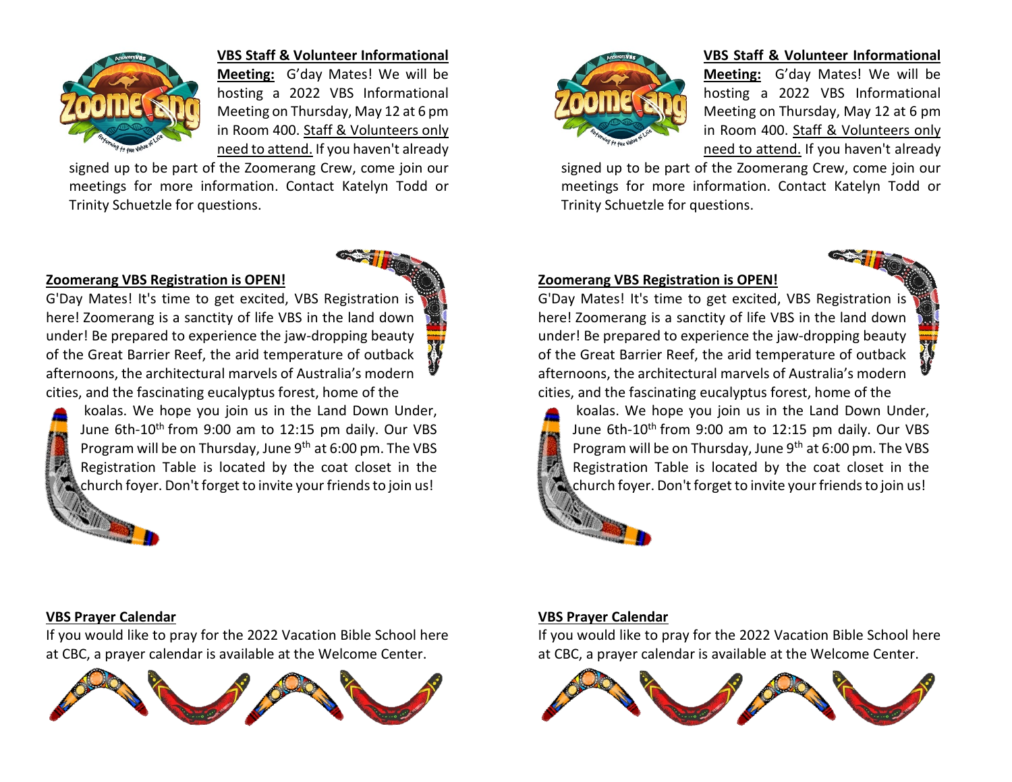

#### **VBS Staff & Volunteer Informational**

**Meeting:** G'day Mates! We will be hosting a 2022 VBS Informational Meeting on Thursday, May 12 at 6 pm in Room 400. Staff & Volunteers only need to attend. If you haven't already

signed up to be part of the Zoomerang Crew, come join our meetings for more information. Contact Katelyn Todd or Trinity Schuetzle for questions.



G'Day Mates! It's time to get excited, VBS Registration is here! Zoomerang is a sanctity of life VBS in the land down under! Be prepared to experience the jaw-dropping beauty of the Great Barrier Reef, the arid temperature of outback afternoons, the architectural marvels of Australia's modern cities, and the fascinating eucalyptus forest, home of the

koalas. We hope you join us in the Land Down Under, June 6th-10<sup>th</sup> from 9:00 am to 12:15 pm daily. Our VBS Program will be on Thursday, June  $9<sup>th</sup>$  at 6:00 pm. The VBS Registration Table is located by the coat closet in the church foyer. Don't forget to invite your friends to join us!



#### **VBS Staff & Volunteer Informational**

**Meeting:** G'day Mates! We will be hosting a 2022 VBS Informational Meeting on Thursday, May 12 at 6 pm in Room 400. Staff & Volunteers only need to attend. If you haven't already

signed up to be part of the Zoomerang Crew, come join our meetings for more information. Contact Katelyn Todd or Trinity Schuetzle for questions.

#### **Zoomerang VBS Registration is OPEN!**

G'Day Mates! It's time to get excited, VBS Registration is here! Zoomerang is a sanctity of life VBS in the land down under! Be prepared to experience the jaw-dropping beauty of the Great Barrier Reef, the arid temperature of outback afternoons, the architectural marvels of Australia's modern cities, and the fascinating eucalyptus forest, home of the



koalas. We hope you join us in the Land Down Under, June 6th-10<sup>th</sup> from 9:00 am to 12:15 pm daily. Our VBS Program will be on Thursday, June 9<sup>th</sup> at 6:00 pm. The VBS Registration Table is located by the coat closet in the church foyer. Don't forget to invite your friends to join us!

#### **VBS Prayer Calendar**

If you would like to pray for the 2022 Vacation Bible School here at CBC, a prayer calendar is available at the Welcome Center.



#### **VBS Prayer Calendar**

If you would like to pray for the 2022 Vacation Bible School here at CBC, a prayer calendar is available at the Welcome Center.